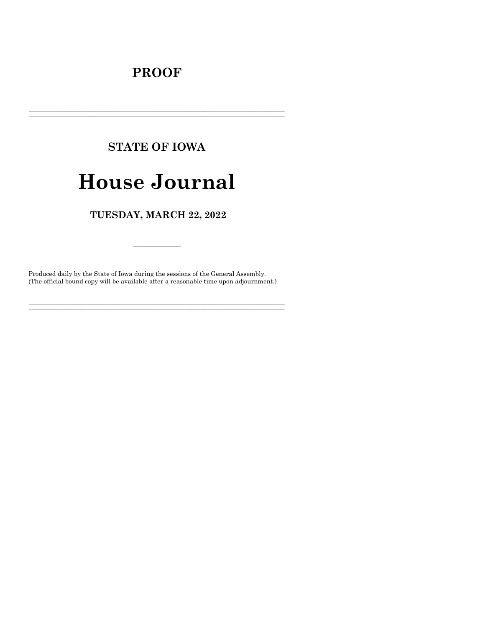### **PROOF**

# **STATE OF IOWA**

## **House Journal**

TUESDAY, MARCH 22, 2022

Produced daily by the State of Iowa during the sessions of the General Assembly. (The official bound copy will be available after a reasonable time upon adjournment.)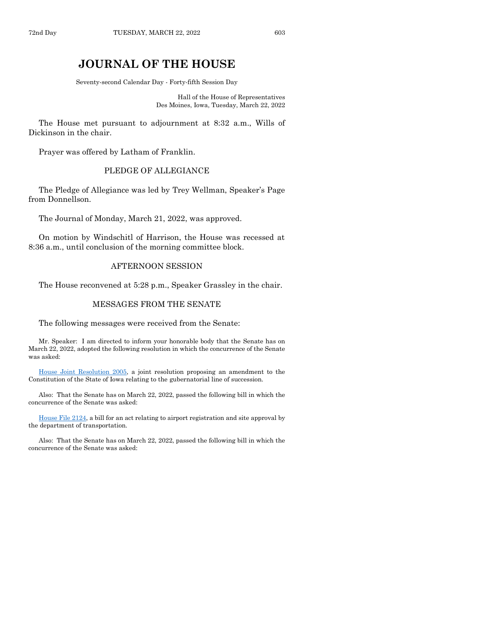### **JOURNAL OF THE HOUSE**

Seventy-second Calendar Day - Forty-fifth Session Day

Hall of the House of Representatives Des Moines, Iowa, Tuesday, March 22, 2022

The House met pursuant to adjournment at 8:32 a.m., Wills of Dickinson in the chair.

Prayer was offered by Latham of Franklin.

#### PLEDGE OF ALLEGIANCE

The Pledge of Allegiance was led by Trey Wellman, Speaker's Page from Donnellson.

The Journal of Monday, March 21, 2022, was approved.

On motion by Windschitl of Harrison, the House was recessed at 8:36 a.m., until conclusion of the morning committee block.

#### AFTERNOON SESSION

The House reconvened at 5:28 p.m., Speaker Grassley in the chair.

#### MESSAGES FROM THE SENATE

The following messages were received from the Senate:

Mr. Speaker: I am directed to inform your honorable body that the Senate has on March 22, 2022, adopted the following resolution in which the concurrence of the Senate was asked:

[House Joint Resolution 2005,](https://www.legis.iowa.gov/legislation/BillBook?ga=89&ba=HJR2005) a joint resolution proposing an amendment to the Constitution of the State of Iowa relating to the gubernatorial line of succession.

Also: That the Senate has on March 22, 2022, passed the following bill in which the concurrence of the Senate was asked:

[House File 2124,](https://www.legis.iowa.gov/legislation/BillBook?ga=89&ba=HF2124) a bill for an act relating to airport registration and site approval by the department of transportation.

Also: That the Senate has on March 22, 2022, passed the following bill in which the concurrence of the Senate was asked: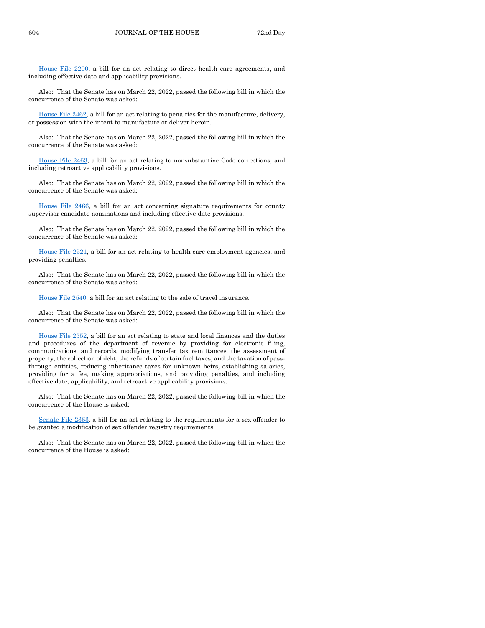[House File 2200,](https://www.legis.iowa.gov/legislation/BillBook?ga=89&ba=HF2200) a bill for an act relating to direct health care agreements, and including effective date and applicability provisions.

Also: That the Senate has on March 22, 2022, passed the following bill in which the concurrence of the Senate was asked:

[House File 2462,](https://www.legis.iowa.gov/legislation/BillBook?ga=89&ba=HF2462) a bill for an act relating to penalties for the manufacture, delivery, or possession with the intent to manufacture or deliver heroin.

Also: That the Senate has on March 22, 2022, passed the following bill in which the concurrence of the Senate was asked:

[House File 2463,](https://www.legis.iowa.gov/legislation/BillBook?ga=89&ba=HF2463) a bill for an act relating to nonsubstantive Code corrections, and including retroactive applicability provisions.

Also: That the Senate has on March 22, 2022, passed the following bill in which the concurrence of the Senate was asked:

[House File 2466,](https://www.legis.iowa.gov/legislation/BillBook?ga=89&ba=HF2466) a bill for an act concerning signature requirements for county supervisor candidate nominations and including effective date provisions.

Also: That the Senate has on March 22, 2022, passed the following bill in which the concurrence of the Senate was asked:

[House File 2521,](https://www.legis.iowa.gov/legislation/BillBook?ga=89&ba=HF2521) a bill for an act relating to health care employment agencies, and providing penalties.

Also: That the Senate has on March 22, 2022, passed the following bill in which the concurrence of the Senate was asked:

[House File 2540,](https://www.legis.iowa.gov/legislation/BillBook?ga=89&ba=HF2540) a bill for an act relating to the sale of travel insurance.

Also: That the Senate has on March 22, 2022, passed the following bill in which the concurrence of the Senate was asked:

[House File 2552,](https://www.legis.iowa.gov/legislation/BillBook?ga=89&ba=HF2552) a bill for an act relating to state and local finances and the duties and procedures of the department of revenue by providing for electronic filing, communications, and records, modifying transfer tax remittances, the assessment of property, the collection of debt, the refunds of certain fuel taxes, and the taxation of passthrough entities, reducing inheritance taxes for unknown heirs, establishing salaries, providing for a fee, making appropriations, and providing penalties, and including effective date, applicability, and retroactive applicability provisions.

Also: That the Senate has on March 22, 2022, passed the following bill in which the concurrence of the House is asked:

[Senate File 2363,](https://www.legis.iowa.gov/legislation/BillBook?ga=89&ba=SF2363) a bill for an act relating to the requirements for a sex offender to be granted a modification of sex offender registry requirements.

Also: That the Senate has on March 22, 2022, passed the following bill in which the concurrence of the House is asked: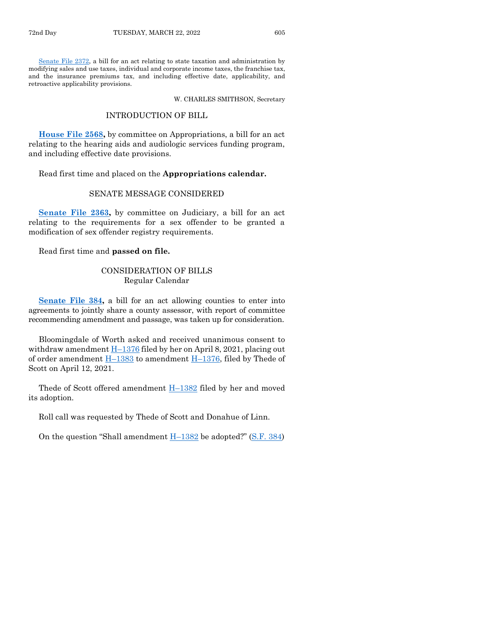[Senate File 2372,](https://www.legis.iowa.gov/legislation/BillBook?ga=89&ba=SF2372) a bill for an act relating to state taxation and administration by modifying sales and use taxes, individual and corporate income taxes, the franchise tax, and the insurance premiums tax, and including effective date, applicability, and retroactive applicability provisions.

W. CHARLES SMITHSON, Secretary

#### INTRODUCTION OF BILL

**[House File 2568,](https://www.legis.iowa.gov/legislation/BillBook?ga=89&ba=HF2568)** by committee on Appropriations, a bill for an act relating to the hearing aids and audiologic services funding program, and including effective date provisions.

Read first time and placed on the **Appropriations calendar.**

#### SENATE MESSAGE CONSIDERED

**[Senate File 2363,](https://www.legis.iowa.gov/legislation/BillBook?ga=89&ba=SF2363)** by committee on Judiciary, a bill for an act relating to the requirements for a sex offender to be granted a modification of sex offender registry requirements.

Read first time and **passed on file.**

#### CONSIDERATION OF BILLS Regular Calendar

**[Senate File 384,](https://www.legis.iowa.gov/legislation/BillBook?ga=89&ba=SF384)** a bill for an act allowing counties to enter into agreements to jointly share a county assessor, with report of committee recommending amendment and passage, was taken up for consideration.

Bloomingdale of Worth asked and received unanimous consent to withdraw amendment  $H-1376$  $H-1376$  filed by her on April 8, 2021, placing out of order amendment  $\underline{H-1383}$  $\underline{H-1383}$  $\underline{H-1383}$  to amendment  $\underline{H-1376}$ , filed by Thede of Scott on April 12, 2021.

Thede of Scott offered amendment  $H-1382$  $H-1382$  filed by her and moved its adoption.

Roll call was requested by Thede of Scott and Donahue of Linn.

On the question "Shall amendment H–[1382](https://www.legis.iowa.gov/legislation/BillBook?ga=89&ba=H1382) be adopted?" ([S.F. 384\)](https://www.legis.iowa.gov/legislation/BillBook?ga=89&ba=SF384)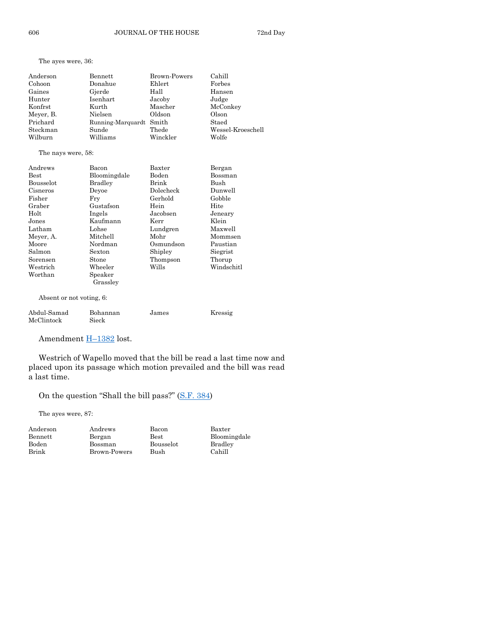The ayes were, 36:

| Anderson  | Bennett                 | Brown-Powers | Cahill            |
|-----------|-------------------------|--------------|-------------------|
| Cohoon    | Donahue                 | Ehlert       | Forbes            |
| Gaines    | Gjerde                  | Hall         | Hansen            |
| Hunter    | Isenhart                | Jacoby       | Judge             |
| Konfrst   | Kurth                   | Mascher      | McConkey          |
| Meyer, B. | Nielsen                 | Oldson       | Olson             |
| Prichard  | Running-Marquardt Smith |              | Staed             |
| Steckman  | Sunde                   | Thede        | Wessel-Kroeschell |
| Wilburn   | Williams                | Winckler     | Wolfe             |

#### The nays were, 58:

| Andrews                   | Bacon             | Baxter    | Bergan     |
|---------------------------|-------------------|-----------|------------|
| <b>Best</b>               | Bloomingdale      | Boden     | Bossman    |
| <b>Bousselot</b>          | Bradley           | Brink     | Bush       |
| Cisneros                  | Devoe             | Dolecheck | Dunwell    |
| Fisher                    | Fry               | Gerhold   | Gobble     |
| Graber                    | Gustafson         | Hein      | Hite       |
| Holt                      | Ingels            | Jacobsen  | Jeneary    |
| Jones                     | Kaufmann          | Kerr      | Klein      |
| Latham                    | Lohse             | Lundgren  | Maxwell    |
| Meyer, A.                 | Mitchell          | Mohr      | Mommsen    |
| Moore                     | Nordman           | Osmundson | Paustian   |
| Salmon                    | Sexton            | Shipley   | Siegrist   |
| Sorensen                  | Stone             | Thompson  | Thorup     |
| Westrich                  | Wheeler           | Wills     | Windschitl |
| Worthan                   | Speaker           |           |            |
|                           | Grassley          |           |            |
| Absent or not voting, 6:  |                   |           |            |
| Abdul-Samad<br>McClintock | Bohannan<br>Sieck | James     | Kressig    |

Amendment **H**-[1382](https://www.legis.iowa.gov/legislation/BillBook?ga=89&ba=H1382) lost.

Westrich of Wapello moved that the bill be read a last time now and placed upon its passage which motion prevailed and the bill was read a last time.

On the question "Shall the bill pass?" [\(S.F. 384\)](https://www.legis.iowa.gov/legislation/BillBook?ga=89&ba=SF384)

The ayes were, 87:

| Anderson<br>Bennett | Andrews<br>Bergan | Bacon<br><b>Best</b> | Baxter<br>Bloomingdale |
|---------------------|-------------------|----------------------|------------------------|
| Boden               | Bossman           | Bousselot            | Bradley                |
| Brink               | Brown-Powers      | Bush                 | Cahill                 |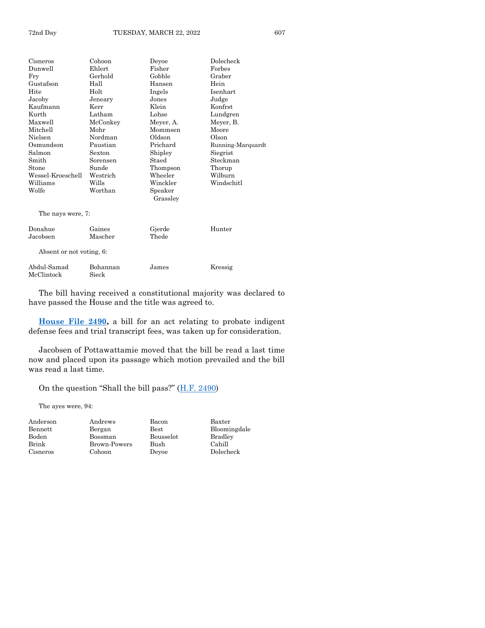| Cisneros          | Cohoon                   | Devoe     | Dolecheck         |  |
|-------------------|--------------------------|-----------|-------------------|--|
| Dunwell           | Ehlert                   | Fisher    | Forbes            |  |
| Fry               | Gerhold                  | Gobble    | Graber            |  |
| Gustafson         | Hall                     | Hansen    | Hein              |  |
| Hite              | Holt                     | Ingels    | Isenhart          |  |
| Jacoby            | Jeneary                  | Jones     | Judge             |  |
| Kaufmann          | Kerr                     | Klein     | Konfrst           |  |
| Kurth             | Latham                   | Lohse     | Lundgren          |  |
| Maxwell           | McConkey                 | Meyer, A. | Meyer, B.         |  |
| Mitchell          | Mohr                     | Mommsen   | Moore             |  |
| Nielsen           | Nordman                  | Oldson    | Olson             |  |
| Osmundson         | Paustian                 | Prichard  | Running-Marquardt |  |
| Salmon            | Sexton                   | Shipley   | Siegrist          |  |
| Smith             | Sorensen                 | Staed     | Steckman          |  |
| Stone             | Sunde                    | Thompson  | Thorup            |  |
| Wessel-Kroeschell | Westrich                 | Wheeler   | Wilburn           |  |
| Williams          | Wills                    | Winckler  | Windschitl        |  |
| Wolfe             | Worthan                  | Speaker   |                   |  |
|                   |                          | Grassley  |                   |  |
| The nays were, 7: |                          |           |                   |  |
| Donahue           | Gaines                   | Gjerde    | Hunter            |  |
| Jacobsen          | Mascher                  | Thede     |                   |  |
|                   | Absent or not voting, 6: |           |                   |  |
| Abdul-Samad       | Bohannan                 | James     | Kressig           |  |
| McClintock        | Sieck                    |           |                   |  |

**[House File 2490,](https://www.legis.iowa.gov/legislation/BillBook?ga=89&ba=HF2490)** a bill for an act relating to probate indigent defense fees and trial transcript fees, was taken up for consideration.

Jacobsen of Pottawattamie moved that the bill be read a last time now and placed upon its passage which motion prevailed and the bill was read a last time.

On the question "Shall the bill pass?" ([H.F. 2490\)](https://www.legis.iowa.gov/legislation/BillBook?ga=89&ba=HF2490)

The ayes were, 94:

| Andersor |
|----------|
| Bennett  |
| Boden    |
| Brink    |
| Cisneros |

Anderson Andrews Bacon Baxter Bengan Best Bloomingdale Bossman Bousselot Bradley<br>Brown-Powers Bush Cahill Brown-Powers Bush Cohoon Deyoe Dolecheck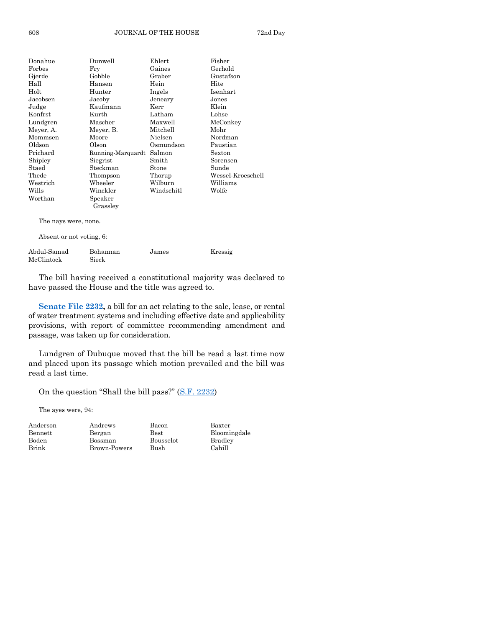| Donahue                  | Dunwell           | Ehlert     | Fisher            |
|--------------------------|-------------------|------------|-------------------|
| Forbes                   | Fry               | Gaines     | Gerhold           |
| Gjerde                   | Gobble            | Graber     | Gustafson         |
| Hall                     | Hansen            | Hein       | Hite              |
| Holt                     | Hunter            | Ingels     | Isenhart          |
| Jacobsen                 | Jacoby            | Jeneary    | Jones             |
| Judge                    | Kaufmann          | Kerr       | Klein             |
| Konfrst                  | Kurth             | Latham     | Lohse             |
| Lundgren                 | Mascher           | Maxwell    | McConkey          |
| Meyer, A.                | Meyer, B.         | Mitchell   | Mohr              |
| Mommsen                  | Moore             | Nielsen    | Nordman           |
| Oldson                   | Olson             | Osmundson  | Paustian          |
| Prichard                 | Running-Marquardt | Salmon     | Sexton            |
| Shipley                  | Siegrist          | Smith      | Sorensen          |
| Staed                    | Steckman          | Stone      | Sunde             |
| Thede                    | Thompson          | Thorup     | Wessel-Kroeschell |
| Westrich                 | Wheeler           | Wilburn    | Williams          |
| Wills                    | Winckler          | Windschitl | Wolfe             |
| Worthan                  | Speaker           |            |                   |
|                          | Grassley          |            |                   |
| The nays were, none.     |                   |            |                   |
| Absent or not voting, 6: |                   |            |                   |
| Abdul-Samad              | Bohannan          | James      | Kressig           |
| McClintock               | Sieck             |            |                   |

**[Senate File 2232,](https://www.legis.iowa.gov/legislation/BillBook?ga=89&ba=SF2232)** a bill for an act relating to the sale, lease, or rental of water treatment systems and including effective date and applicability provisions, with report of committee recommending amendment and passage, was taken up for consideration.

Lundgren of Dubuque moved that the bill be read a last time now and placed upon its passage which motion prevailed and the bill was read a last time.

On the question "Shall the bill pass?" ([S.F. 2232\)](https://www.legis.iowa.gov/legislation/BillBook?ga=89&ba=SF2232)

The ayes were, 94:

| Anuerso |
|---------|
| Bennett |
| Boden   |
| Brink   |

Anderson Andrews Bacon Baxter Bossman Bousselot Bradley Brown-Powers Bush Cahill

Bengan Best Bloomingdale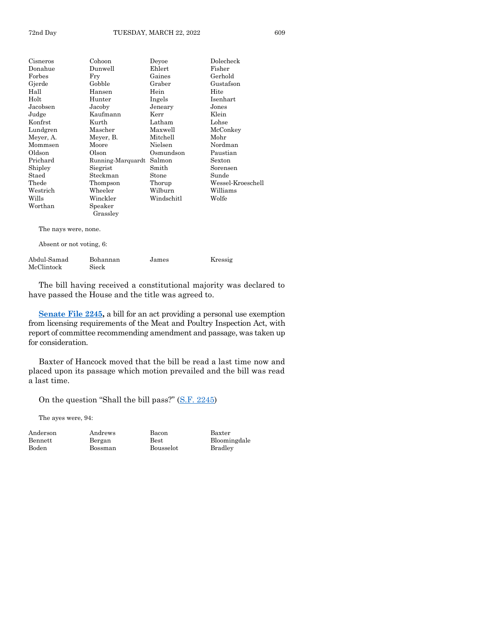| Cisneros             | Cohoon                   | Deyoe      | Dolecheck         |  |
|----------------------|--------------------------|------------|-------------------|--|
| Donahue              | Dunwell                  | Ehlert     | Fisher            |  |
| Forbes               | Fry                      | Gaines     | Gerhold           |  |
| Gjerde               | Gobble                   | Graber     | Gustafson         |  |
| Hall                 | Hansen                   | Hein       | Hite              |  |
| $_{\rm Holt}$        | Hunter                   | Ingels     | <b>Isenhart</b>   |  |
| Jacobsen             | Jacoby                   | Jeneary    | Jones             |  |
| Judge                | Kaufmann                 | Kerr       | Klein             |  |
| Konfrst              | Kurth                    | Latham     | Lohse             |  |
| Lundgren             | Mascher                  | Maxwell    | McConkey          |  |
| Meyer, A.            | Meyer, B.                | Mitchell   | Mohr              |  |
| Mommsen              | Moore                    | Nielsen    | Nordman           |  |
| Oldson               | Olson                    | Osmundson  | Paustian          |  |
| Prichard             | Running-Marquardt        | Salmon     | Sexton            |  |
| Shipley              | Siegrist                 | Smith      | Sorensen          |  |
| Staed                | Steckman                 | Stone      | Sunde             |  |
| $\rm The de$         | Thompson                 | Thorup     | Wessel-Kroeschell |  |
| Westrich             | Wheeler                  | Wilburn    | Williams          |  |
| Wills                | Winckler                 | Windschitl | Wolfe             |  |
| Worthan              | Speaker                  |            |                   |  |
|                      | Grassley                 |            |                   |  |
| The nays were, none. |                          |            |                   |  |
|                      | Absent or not voting, 6: |            |                   |  |

| Abdul-Samad | Bohannan | James | Kressig |
|-------------|----------|-------|---------|
| McClintock  | Sieck    |       |         |

**[Senate File 2245,](https://www.legis.iowa.gov/legislation/BillBook?ga=89&ba=SF2245)** a bill for an act providing a personal use exemption from licensing requirements of the Meat and Poultry Inspection Act, with report of committee recommending amendment and passage, was taken up for consideration.

Baxter of Hancock moved that the bill be read a last time now and placed upon its passage which motion prevailed and the bill was read a last time.

On the question "Shall the bill pass?" ([S.F. 2245\)](https://www.legis.iowa.gov/legislation/BillBook?ga=89&ba=SF2245)

The ayes were, 94:

Anderson Andrews Bacon Baxter Boden Bossman Bousselot Bradley

Bennett Bergan Best Bloomingdale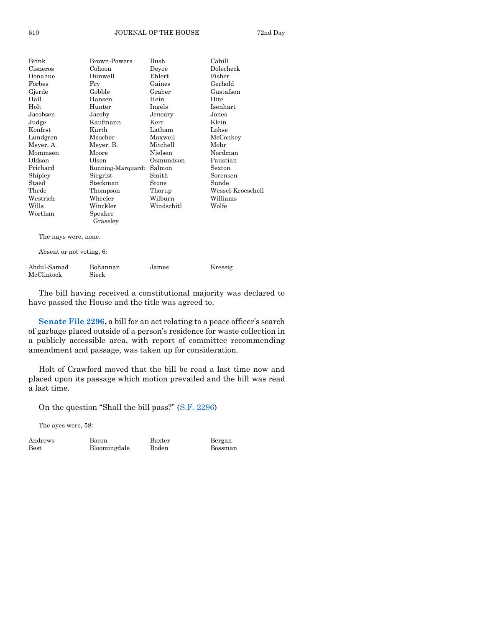| Brink                    | Brown-Powers      | Bush       | Cahill            |
|--------------------------|-------------------|------------|-------------------|
| Cisneros                 | Cohoon            | Devoe      | Dolecheck         |
| Donahue                  | Dunwell           | Ehlert     | Fisher            |
| Forbes                   | Fry               | Gaines     | Gerhold           |
| Gjerde                   | Gobble            | Graber     | Gustafson         |
| Hall                     | Hansen            | Hein       | Hite              |
| Holt                     | Hunter            | Ingels     | Isenhart          |
| Jacobsen                 | Jacoby            | Jeneary    | Jones             |
| Judge                    | Kaufmann          | Kerr       | Klein             |
| Konfrst                  | Kurth             | Latham     | Lohse             |
| Lundgren                 | Mascher           | Maxwell    | McConkey          |
| Meyer, A.                | Meyer, B.         | Mitchell   | Mohr              |
| Mommsen                  | Moore             | Nielsen    | Nordman           |
| Oldson                   | Olson             | Osmundson  | Paustian          |
| Prichard                 | Running-Marquardt | Salmon     | Sexton            |
| Shipley                  | Siegrist          | Smith      | Sorensen          |
| Staed                    | Steckman          | Stone      | Sunde             |
| Thede                    | Thompson          | Thorup     | Wessel-Kroeschell |
| Westrich                 | Wheeler           | Wilburn    | Williams          |
| Wills                    | Winckler          | Windschitl | Wolfe             |
| Worthan                  | Speaker           |            |                   |
|                          | Grassley          |            |                   |
| The nays were, none.     |                   |            |                   |
| Absent or not voting, 6: |                   |            |                   |

| Abdul-Samad | Bohannan | James | Kressig |
|-------------|----------|-------|---------|
| McClintock  | Sieck    |       |         |

[Senate File 2296,](https://www.legis.iowa.gov/legislation/BillBook?ga=89&ba=SF2296) a bill for an act relating to a peace officer's search of garbage placed outside of a person's residence for waste collection in a publicly accessible area, with report of committee recommending amendment and passage, was taken up for consideration.

Holt of Crawford moved that the bill be read a last time now and placed upon its passage which motion prevailed and the bill was read a last time.

On the question "Shall the bill pass?" ([S.F. 2296\)](https://www.legis.iowa.gov/legislation/BillBook?ga=89&ba=SF2296)

The ayes were, 58:

| Andrews     | Bacon        | Baxter | Bergan  |
|-------------|--------------|--------|---------|
| <b>Best</b> | Bloomingdale | Boden  | Bossman |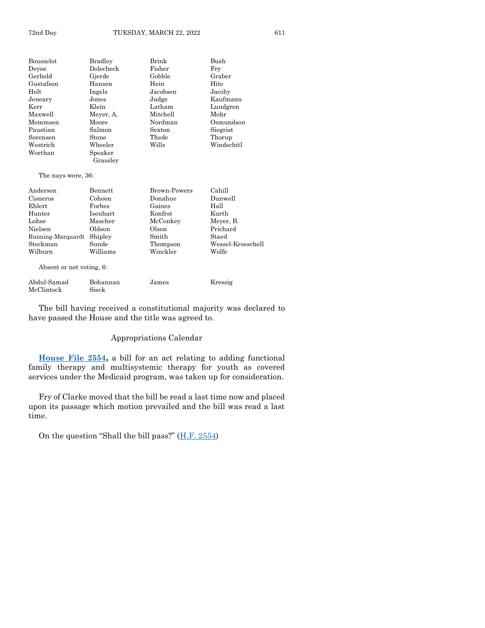| Bousselot          | Bradley   | Brink    | Bush       |
|--------------------|-----------|----------|------------|
| Deyoe              | Dolecheck | Fisher   | Fry        |
| Gerhold            | Gjerde    | Gobble   | Graber     |
| Gustafson          | Hansen    | Hein     | Hite       |
| Holt               | Ingels    | Jacobsen | Jacoby     |
| Jenearv            | Jones     | Judge    | Kaufmann   |
| Kerr               | Klein     | Latham   | Lundgren   |
| Maxwell            | Meyer, A. | Mitchell | Mohr       |
| Mommsen            | Moore     | Nordman  | Osmundson  |
| Paustian           | Salmon    | Sexton   | Siegrist   |
| Sorensen           | Stone     | Thede    | Thorup     |
| ${\rm Western}$    | Wheeler   | Wills    | Windschitl |
| Worthan            | Speaker   |          |            |
|                    | Grassley  |          |            |
| The nays were, 36: |           |          |            |

| Anderson          | Bennett  | <b>Brown-Powers</b> | Cahill            |
|-------------------|----------|---------------------|-------------------|
| Cisneros          | Cohoon   | Donahue             | Dunwell           |
| Ehlert            | Forbes   | Gaines              | Hall              |
| Hunter            | Isenhart | Konfrst             | Kurth             |
| Lohse             | Mascher  | McConkey            | Meyer, B.         |
| Nielsen           | Oldson   | Olson               | Prichard          |
| Running-Marquardt | Shipley  | Smith               | Staed             |
| Steckman          | Sunde    | Thompson            | Wessel-Kroeschell |
| Wilburn           | Williams | Winckler            | Wolfe             |
|                   |          |                     |                   |

Absent or not voting, 6:

| Abdul-Samad | Bohannan | James | Kressig |
|-------------|----------|-------|---------|
| McClintock  | Sieck    |       |         |

The bill having received a constitutional majority was declared to have passed the House and the title was agreed to.

#### Appropriations Calendar

**[House File 2554,](https://www.legis.iowa.gov/legislation/BillBook?ga=89&ba=HF2554)** a bill for an act relating to adding functional family therapy and multisystemic therapy for youth as covered services under the Medicaid program, was taken up for consideration.

Fry of Clarke moved that the bill be read a last time now and placed upon its passage which motion prevailed and the bill was read a last time.

On the question "Shall the bill pass?"  $(H.F. 2554)$  $(H.F. 2554)$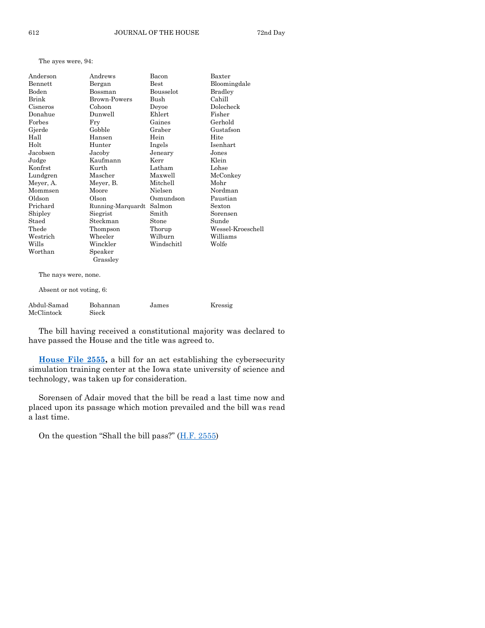The ayes were, 94:

| Anderson       | Andrews             | Bacon          | Baxter            |
|----------------|---------------------|----------------|-------------------|
| <b>Bennett</b> | Bergan              | <b>Best</b>    | Bloomingdale      |
| Boden          | Bossman             | Bousselot      | <b>Bradley</b>    |
| Brink          | <b>Brown-Powers</b> | Bush           | Cahill            |
| Cisneros       | Cohoon              | Deyoe          | Dolecheck         |
| Donahue        | Dunwell             | Ehlert         | Fisher            |
| Forbes         | Fry                 | Gaines         | Gerhold           |
| Gjerde         | Gobble              | Graber         | Gustafson         |
| Hall           | Hansen              | Hein           | Hite              |
| Holt           | Hunter              | Ingels         | Isenhart          |
| Jacobsen       | Jacoby              | Jeneary        | Jones             |
| Judge          | Kaufmann            | Kerr           | Klein             |
| Konfrst        | Kurth               | Latham         | Lohse             |
| Lundgren       | Mascher             | Maxwell        | McConkey          |
| Meyer, A.      | Meyer, B.           | Mitchell       | Mohr              |
| Mommsen        | Moore               | <b>Nielsen</b> | Nordman           |
| Oldson         | Olson               | Osmundson      | Paustian          |
| Prichard       | Running-Marquardt   | Salmon         | Sexton            |
| Shipley        | Siegrist            | Smith          | Sorensen          |
| Staed          | Steckman            | Stone          | Sunde             |
| Thede          | Thompson            | Thorup         | Wessel-Kroeschell |
| Westrich       | Wheeler             | Wilburn        | Williams          |
| Wills          | Winckler            | Windschitl     | Wolfe             |
| Worthan        | Speaker<br>Grassley |                |                   |

The nays were, none.

Absent or not voting, 6:

| Abdul-Samad | Bohannan | James | Kressig |
|-------------|----------|-------|---------|
| McClintock  | Sieck    |       |         |

The bill having received a constitutional majority was declared to have passed the House and the title was agreed to.

**[House File 2555,](https://www.legis.iowa.gov/legislation/BillBook?ga=89&ba=HF2555)** a bill for an act establishing the cybersecurity simulation training center at the Iowa state university of science and technology, was taken up for consideration.

Sorensen of Adair moved that the bill be read a last time now and placed upon its passage which motion prevailed and the bill was read a last time.

On the question "Shall the bill pass?"  $(H.F. 2555)$  $(H.F. 2555)$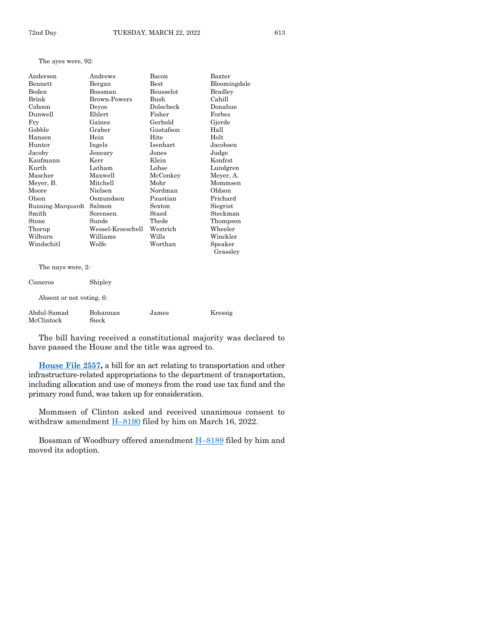The ayes were, 92:

| Anderson          | Andrews           | Bacon            | Baxter         |
|-------------------|-------------------|------------------|----------------|
| <b>Bennett</b>    | Bergan            | <b>Best</b>      | Bloomingdale   |
| <b>Boden</b>      | Bossman           | <b>Bousselot</b> | <b>Bradley</b> |
| Brink             | Brown-Powers      | Bush             | Cahill         |
| Cohoon            | Devoe             | Dolecheck        | Donahue        |
| Dunwell           | Ehlert            | Fisher           | Forbes         |
| Fry               | Gaines            | Gerhold          | Gjerde         |
| Gobble            | Graber            | Gustafson        | Hall           |
| Hansen            | Hein              | Hite             | Holt           |
| Hunter            | Ingels            | Isenhart         | Jacobsen       |
| Jacoby            | Jeneary           | Jones            | Judge          |
| Kaufmann          | Kerr              | Klein            | Konfrst        |
| Kurth             | Latham            | Lohse            | Lundgren       |
| Mascher           | Maxwell           | McConkey         | Meyer, A.      |
| Meyer, B.         | Mitchell          | Mohr             | Mommsen        |
| Moore             | Nielsen           | Nordman          | Oldson         |
| Olson             | Osmundson         | Paustian         | Prichard       |
| Running-Marquardt | Salmon            | <b>Sexton</b>    | Siegrist       |
| Smith             | Sorensen          | Staed            | Steckman       |
| Stone             | Sunde             | Thede            | Thompson       |
| Thorup            | Wessel-Kroeschell | Westrich         | Wheeler        |
| Wilburn           | Williams          | Wills            | Winckler       |
| Windschitl        | Wolfe             | Worthan          | Speaker        |
|                   |                   |                  | Grassley       |
| The nays were, 2: |                   |                  |                |
| Cisneros          | Shipley           |                  |                |

Absent or not voting, 6:

| Abdul-Samad | Bohannan | James | Kressig |
|-------------|----------|-------|---------|
| McClintock  | Sieck    |       |         |

The bill having received a constitutional majority was declared to have passed the House and the title was agreed to.

**[House File 2557,](https://www.legis.iowa.gov/legislation/BillBook?ga=89&ba=HF2557)** a bill for an act relating to transportation and other infrastructure-related appropriations to the department of transportation, including allocation and use of moneys from the road use tax fund and the primary road fund, was taken up for consideration.

Mommsen of Clinton asked and received unanimous consent to withdraw amendment  $\underline{H-8190}$  $\underline{H-8190}$  $\underline{H-8190}$  filed by him on March 16, 2022.

Bossman of Woodbury offered amendment H–[8189](https://www.legis.iowa.gov/legislation/BillBook?ga=89&ba=H8189) filed by him and moved its adoption.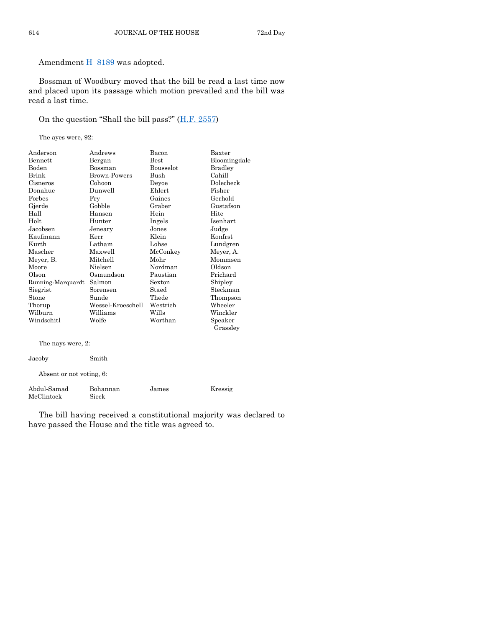Amendment  $H-8189$  $H-8189$  was adopted.

Bossman of Woodbury moved that the bill be read a last time now and placed upon its passage which motion prevailed and the bill was read a last time.

#### On the question "Shall the bill pass?" ([H.F. 2557\)](https://www.legis.iowa.gov/legislation/BillBook?ga=89&ba=HF2557)

The ayes were, 92:

| Anderson          | Andrews             | Bacon            | Baxter         |
|-------------------|---------------------|------------------|----------------|
| Bennett           | Bergan              | Best             | Bloomingdale   |
| Boden             | Bossman             | <b>Bousselot</b> | <b>Bradley</b> |
| Brink             | <b>Brown-Powers</b> | Bush             | Cahill         |
| Cisneros          | Cohoon              | Deyoe            | Dolecheck      |
| Donahue           | Dunwell             | Ehlert           | Fisher         |
| Forbes            | Fry                 | Gaines           | Gerhold        |
| Gjerde            | Gobble              | Graber           | Gustafson      |
| Hall              | Hansen              | Hein             | Hite           |
| Holt              | Hunter              | Ingels           | Isenhart       |
| Jacobsen          | Jeneary             | Jones            | Judge          |
| Kaufmann          | Kerr                | Klein            | Konfrst        |
| Kurth             | Latham              | Lohse            | Lundgren       |
| Mascher           | Maxwell             | McConkey         | Meyer, A.      |
| Meyer, B.         | Mitchell            | Mohr             | Mommsen        |
| Moore             | Nielsen             | Nordman          | Oldson         |
| Olson             | Osmundson           | Paustian         | Prichard       |
| Running-Marquardt | Salmon              | Sexton           | Shipley        |
| Siegrist          | Sorensen            | Staed            | Steckman       |
| Stone             | Sunde               | Thede            | Thompson       |
| Thorup            | Wessel-Kroeschell   | Westrich         | Wheeler        |
| Wilburn           | Williams            | Wills            | Winckler       |
| Windschitl        | Wolfe               | Worthan          | Speaker        |
|                   |                     |                  | Grassley       |
| The nays were, 2: |                     |                  |                |

| Jacoby                    | Smith             |       |         |
|---------------------------|-------------------|-------|---------|
| Absent or not voting, 6:  |                   |       |         |
| Abdul-Samad<br>McClintock | Bohannan<br>Sieck | James | Kressig |

The bill having received a constitutional majority was declared to have passed the House and the title was agreed to.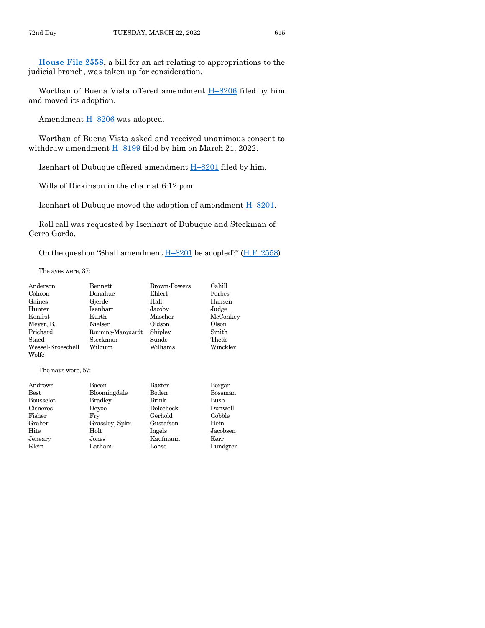**[House File 2558,](https://www.legis.iowa.gov/legislation/BillBook?ga=89&ba=HF2558)** a bill for an act relating to appropriations to the judicial branch, was taken up for consideration.

Worthan of Buena Vista offered amendment H–[8206](https://www.legis.iowa.gov/legislation/BillBook?ga=89&ba=H8206) filed by him and moved its adoption.

Amendment H–[8206](https://www.legis.iowa.gov/legislation/BillBook?ga=89&ba=H8206) was adopted.

Worthan of Buena Vista asked and received unanimous consent to withdraw amendment H–[8199](https://www.legis.iowa.gov/legislation/BillBook?ga=89&ba=H8199) filed by him on March 21, 2022.

Isenhart of Dubuque offered amendment H–[8201](https://www.legis.iowa.gov/legislation/BillBook?ga=89&ba=H8201) filed by him.

Wills of Dickinson in the chair at 6:12 p.m.

Isenhart of Dubuque moved the adoption of amendment H–[8201.](https://www.legis.iowa.gov/legislation/BillBook?ga=89&ba=H8201)

Roll call was requested by Isenhart of Dubuque and Steckman of Cerro Gordo.

On the question "Shall amendment  $H-8201$  $H-8201$  be adopted?" ([H.F. 2558\)](https://www.legis.iowa.gov/legislation/BillBook?ga=89&ba=HF2558)

The ayes were, 37:

| Anderson          | Bennett           | <b>Brown-Powers</b> | Cahill   |
|-------------------|-------------------|---------------------|----------|
| Cohoon            | Donahue           | Ehlert              | Forbes   |
| Gaines            | Gjerde            | Hall                | Hansen   |
| Hunter            | Isenhart          | Jacoby              | Judge    |
| Konfrst           | Kurth             | Mascher             | McConkey |
| Meyer, B.         | Nielsen           | Oldson              | Olson    |
| Prichard          | Running-Marquardt | Shipley             | Smith    |
| Staed             | Steckman          | Sunde               | Thede    |
| Wessel-Kroeschell | Wilburn           | Williams            | Winckler |
| Wolfe             |                   |                     |          |

The nays were, 57:

| Andrews   | Bacon           | Baxter    | Bergan   |
|-----------|-----------------|-----------|----------|
| Best      | Bloomingdale    | Boden     | Bossman  |
| Bousselot | <b>Bradley</b>  | Brink     | Bush     |
| Cisneros  | Devoe           | Dolecheck | Dunwell  |
| Fisher    | Frv             | Gerhold   | Gobble   |
| Graber    | Grassley, Spkr. | Gustafson | Hein     |
| Hite      | Holt            | Ingels    | Jacobsen |
| Jeneary   | Jones           | Kaufmann  | Kerr     |
| Klein     | Latham          | Lohse     | Lundgren |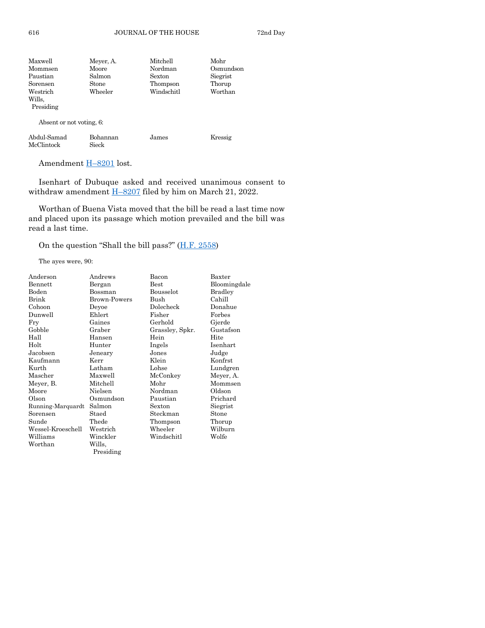| Maxwell   | Meyer, A. | Mitchell   | Mohr      |
|-----------|-----------|------------|-----------|
| Mommsen   | Moore     | Nordman    | Osmundson |
| Paustian  | Salmon    | Sexton     | Siegrist  |
| Sorensen  | Stone     | Thompson   | Thorup    |
| Westrich  | Wheeler   | Windschitl | Worthan   |
| Wills.    |           |            |           |
| Presiding |           |            |           |
|           |           |            |           |

Absent or not voting, 6:

| Abdul-Samad | Bohannan | James | Kressig |
|-------------|----------|-------|---------|
| McClintock  | Sieck    |       |         |

Amendment H-[8201](https://www.legis.iowa.gov/legislation/BillBook?ga=89&ba=H8201) lost.

Isenhart of Dubuque asked and received unanimous consent to withdraw amendment  $\underline{H-8207}$  $\underline{H-8207}$  $\underline{H-8207}$  filed by him on March 21, 2022.

Worthan of Buena Vista moved that the bill be read a last time now and placed upon its passage which motion prevailed and the bill was read a last time.

On the question "Shall the bill pass?" ([H.F. 2558\)](https://www.legis.iowa.gov/legislation/BillBook?ga=89&ba=HF2558)

The ayes were, 90:

| Anderson          | Andrews             | Bacon           | Baxter       |
|-------------------|---------------------|-----------------|--------------|
| Bennett           | Bergan              | Best            | Bloomingdale |
| Boden             | Bossman             | Bousselot       | Bradley      |
| Brink             | <b>Brown-Powers</b> | Bush            | Cahill       |
| Cohoon            | Devoe               | Dolecheck       | Donahue      |
| Dunwell           | Ehlert              | Fisher          | Forbes       |
| Fry               | Gaines              | Gerhold         | Gjerde       |
| Gobble            | Graber              | Grassley, Spkr. | Gustafson    |
| Hall              | Hansen              | Hein            | Hite         |
| Holt              | Hunter              | Ingels          | Isenhart     |
| Jacobsen          | Jeneary             | Jones           | Judge        |
| Kaufmann          | Kerr                | Klein           | Konfrst      |
| Kurth             | Latham              | Lohse           | Lundgren     |
| Mascher           | Maxwell             | McConkey        | Meyer, A.    |
| Meyer, B.         | Mitchell            | Mohr            | Mommsen      |
| Moore             | Nielsen             | Nordman         | Oldson       |
| Olson             | Osmundson           | Paustian        | Prichard     |
| Running-Marquardt | Salmon              | Sexton          | Siegrist     |
| Sorensen          | Staed               | Steckman        | Stone        |
| Sunde             | Thede               | Thompson        | Thorup       |
| Wessel-Kroeschell | Westrich            | Wheeler         | Wilburn      |
| Williams          | Winckler            | Windschitl      | Wolfe        |
| Worthan           | Wills,              |                 |              |
|                   | Presiding           |                 |              |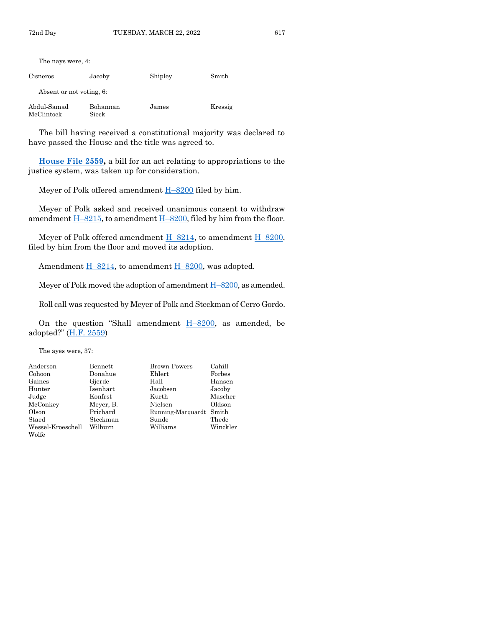| The nays were, 4:         |                   |         |         |
|---------------------------|-------------------|---------|---------|
| Cisneros                  | Jacoby            | Shipley | Smith   |
| Absent or not voting, 6:  |                   |         |         |
| Abdul-Samad<br>McClintock | Bohannan<br>Sieck | James   | Kressig |

**[House File 2559,](https://www.legis.iowa.gov/legislation/BillBook?ga=89&ba=HF2559)** a bill for an act relating to appropriations to the justice system, was taken up for consideration.

Meyer of Polk offered amendment  $H-8200$  $H-8200$  filed by him.

Meyer of Polk asked and received unanimous consent to withdraw amendment  $H-8215$ , to amendment  $H-8200$ , filed by him from the floor.

Meyer of Polk offered amendment  $H-8214$ , to amendment  $H-8200$ , filed by him from the floor and moved its adoption.

Amendment  $H-8214$ , to amendment  $H-8200$ , was adopted.

Meyer of Polk moved the adoption of amendment  $H-8200$ , as amended.

Roll call was requested by Meyer of Polk and Steckman of Cerro Gordo.

On the question "Shall amendment  $H-8200$ , as amended, be adopted?" ([H.F. 2559\)](https://www.legis.iowa.gov/legislation/BillBook?ga=89&ba=HF2559)

> Mascher Oldson

Winckler

The ayes were, 37:

| Anderson          | Bennett   | <b>Brown-Powers</b>     | Cahill  |
|-------------------|-----------|-------------------------|---------|
| Cohoon            | Donahue   | Ehlert                  | Forbes  |
| Gaines            | Gjerde    | Hall                    | Hansen  |
| Hunter            | Isenhart  | Jacobsen                | Jacoby  |
| Judge             | Konfrst   | Kurth                   | Masche  |
| McConkey          | Meyer, B. | Nielsen                 | Oldson  |
| Olson             | Prichard  | Running-Marquardt Smith |         |
| Staed             | Steckman  | Sunde                   | Thede   |
| Wessel-Kroeschell | Wilburn   | Williams                | Winckle |
| Wolfe             |           |                         |         |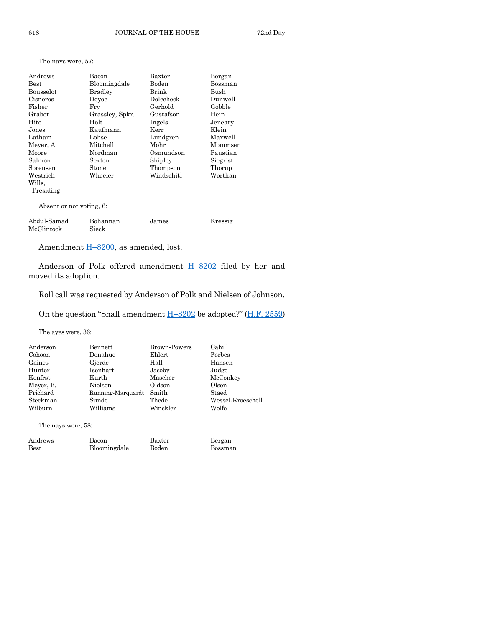| Bacon<br>Bloomingdale<br><b>Bradley</b> | Baxter<br>Boden | Bergan<br>Bossman |
|-----------------------------------------|-----------------|-------------------|
|                                         |                 |                   |
|                                         |                 |                   |
|                                         | Brink           | Bush              |
| Devoe                                   | Dolecheck       | Dunwell           |
| Fry                                     | Gerhold         | Gobble            |
| Grassley, Spkr.                         | Gustafson       | Hein              |
| Holt                                    | Ingels          | Jeneary           |
| Kaufmann                                | Kerr            | Klein             |
| Lohse                                   | Lundgren        | Maxwell           |
| Mitchell                                | Mohr            | Mommsen           |
| Nordman                                 | Osmundson       | Paustian          |
| Sexton                                  | Shipley         | Siegrist          |
| Stone                                   | Thompson        | Thorup            |
| Wheeler                                 | Windschitl      | Worthan           |
|                                         |                 |                   |
|                                         |                 |                   |
| Absent or not voting, 6:                |                 |                   |
| Bohannan                                | James           | Kressig           |
|                                         | Sieck           |                   |

Amendment **H**–[8200,](https://www.legis.iowa.gov/legislation/BillBook?ga=89&ba=H8200) as amended, lost.

Anderson of Polk offered amendment H–[8202](https://www.legis.iowa.gov/legislation/BillBook?ga=89&ba=H8202) filed by her and moved its adoption.

Roll call was requested by Anderson of Polk and Nielsen of Johnson.

On the question "Shall amendment H–[8202](https://www.legis.iowa.gov/legislation/BillBook?ga=89&ba=H8202) be adopted?" ([H.F. 2559\)](https://www.legis.iowa.gov/legislation/BillBook?ga=89&ba=HF2559)

Bergan Bossman

The ayes were, 36:

The nays were, 57:

| Anderson  | Bennett           | <b>Brown-Powers</b> | Cahill            |
|-----------|-------------------|---------------------|-------------------|
| Cohoon    | Donahue           | Ehlert              | Forbes            |
| Gaines    | Gjerde            | Hall                | Hansen            |
| Hunter    | Isenhart          | Jacoby              | Judge             |
| Konfrst   | Kurth             | Mascher             | McConkey          |
| Meyer, B. | Nielsen           | Oldson              | Olson             |
| Prichard  | Running-Marquardt | Smith               | Staed             |
| Steckman  | Sunde             | Thede               | Wessel-Kroeschell |
| Wilburn   | Williams          | Winckler            | Wolfe             |

The nays were, 58:

| Andrews     | Bacon        | Baxter |
|-------------|--------------|--------|
| <b>Best</b> | Bloomingdale | Boden  |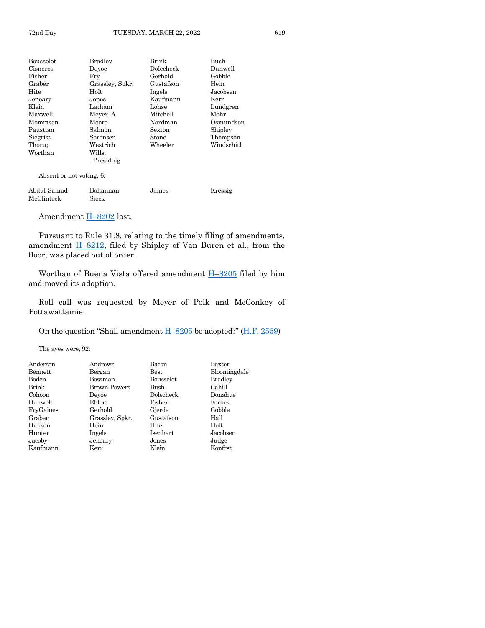| Bousselot | <b>Bradley</b>  | Brink     | Bush       |
|-----------|-----------------|-----------|------------|
| Cisneros  | Devoe           | Dolecheck | Dunwell    |
| Fisher    | Frv             | Gerhold   | Gobble     |
| Graber    | Grassley, Spkr. | Gustafson | Hein       |
| Hite      | Holt            | Ingels    | Jacobsen   |
| Jeneary   | Jones           | Kaufmann  | Kerr       |
| Klein     | Latham          | Lohse     | Lundgren   |
| Maxwell   | Meyer, A.       | Mitchell  | Mohr       |
| Mommsen   | Moore           | Nordman   | Osmundson  |
| Paustian  | Salmon          | Sexton    | Shipley    |
| Siegrist  | Sorensen        | Stone     | Thompson   |
| Thorup    | Westrich        | Wheeler   | Windschitl |
| Worthan   | Wills.          |           |            |
|           | Presiding       |           |            |

Absent or not voting, 6:

| Abdul-Samad | Bohannan | James | Kressig |
|-------------|----------|-------|---------|
| McClintock  | Sieck    |       |         |

Amendment H-[8202](https://www.legis.iowa.gov/legislation/BillBook?ga=89&ba=H8202) lost.

Pursuant to Rule 31.8, relating to the timely filing of amendments, amendment  $\underline{H-8212}$ , filed by Shipley of Van Buren et al., from the floor, was placed out of order.

Worthan of Buena Vista offered amendment  $H-8205$  $H-8205$  filed by him and moved its adoption.

Roll call was requested by Meyer of Polk and McConkey of Pottawattamie.

On the question "Shall amendment  $H-8205$  $H-8205$  be adopted?" ( $H.F. 2559$ )

The ayes were, 92:

| Anderson  | Andrews         | Bacon     | Baxter         |
|-----------|-----------------|-----------|----------------|
| Bennett   | Bergan          | Best      | Bloomingdale   |
| Boden     | Bossman         | Bousselot | <b>Bradley</b> |
| Brink     | Brown-Powers    | Bush      | Cahill         |
| Cohoon    | Devoe           | Dolecheck | Donahue        |
| Dunwell   | Ehlert          | Fisher    | Forbes         |
| FryGaines | Gerhold         | Gjerde    | Gobble         |
| Graber    | Grassley, Spkr. | Gustafson | Hall           |
| Hansen    | Hein            | Hite      | Holt           |
| Hunter    | Ingels          | Isenhart  | Jacobsen       |
| Jacoby    | Jeneary         | Jones     | Judge          |
| Kaufmann  | Kerr            | Klein     | Konfrst        |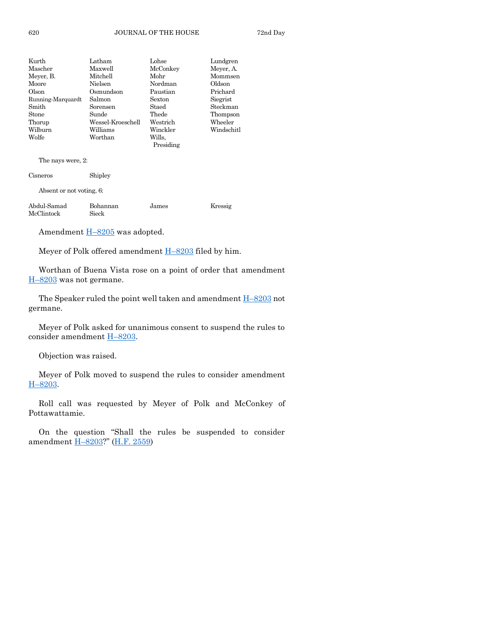| Kurth             | Latham            | Lohse     | Lundgren   |
|-------------------|-------------------|-----------|------------|
| Mascher           | Maxwell           | McConkey  | Meyer, A.  |
| Meyer, B.         | Mitchell          | Mohr      | Mommsen    |
| Moore             | Nielsen           | Nordman   | Oldson     |
| Olson             | Osmundson         | Paustian  | Prichard   |
| Running-Marquardt | Salmon            | Sexton    | Siegrist   |
| Smith             | Sorensen          | Staed     | Steckman   |
| Stone             | Sunde             | Thede     | Thompson   |
| Thorup            | Wessel-Kroeschell | Westrich  | Wheeler    |
| Wilburn           | Williams          | Winckler  | Windschitl |
| Wolfe             | Worthan           | Wills.    |            |
|                   |                   | Presiding |            |
|                   |                   |           |            |

The nays were, 2:

| Cisneros                 | Shipley  |  |
|--------------------------|----------|--|
| Absent or not voting, 6: |          |  |
| Abdul-Samad              | Bohannan |  |

Abdul-Samad Bohannan James Kressig McClintock

Amendment H–[8205](https://www.legis.iowa.gov/legislation/BillBook?ga=89&ba=H8205) was adopted.

Meyer of Polk offered amendment  $H-8203$  $H-8203$  filed by him.

Worthan of Buena Vista rose on a point of order that amendment H–[8203](https://www.legis.iowa.gov/legislation/BillBook?ga=89&ba=H8203) was not germane.

The Speaker ruled the point well taken and amendment  $H-8203$  $H-8203$  not germane.

Meyer of Polk asked for unanimous consent to suspend the rules to consider amendment **H**-[8203.](https://www.legis.iowa.gov/legislation/BillBook?ga=89&ba=H8203)

Objection was raised.

Meyer of Polk moved to suspend the rules to consider amendment H–[8203.](https://www.legis.iowa.gov/legislation/BillBook?ga=89&ba=H8203)

Roll call was requested by Meyer of Polk and McConkey of Pottawattamie.

On the question "Shall the rules be suspended to consider amendment H–[8203?](https://www.legis.iowa.gov/legislation/BillBook?ga=89&ba=H8203)" [\(H.F. 2559\)](https://www.legis.iowa.gov/legislation/BillBook?ga=89&ba=HF2559)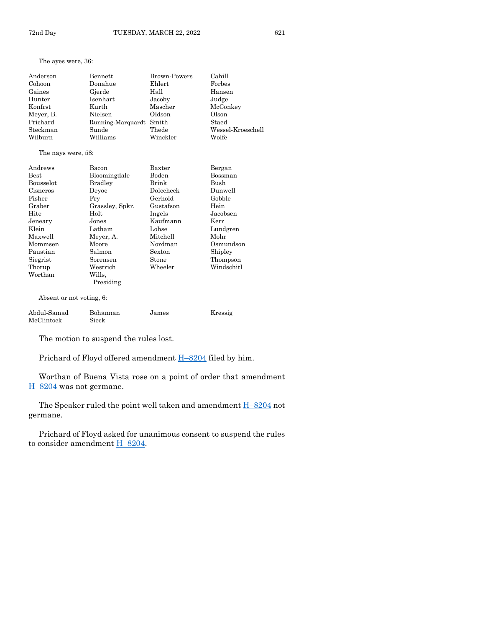The ayes were, 36:

| Anderson  | Bennett                 | <b>Brown-Powers</b> | Cahill            |
|-----------|-------------------------|---------------------|-------------------|
| Cohoon    | Donahue                 | Ehlert              | Forbes            |
| Gaines    | Gjerde                  | Hall                | Hansen            |
| Hunter    | Isenhart                | Jacoby              | Judge             |
| Konfrst   | Kurth                   | Mascher             | McConkey          |
| Meyer, B. | Nielsen                 | Oldson              | Olson             |
| Prichard  | Running-Marquardt Smith |                     | Staed             |
| Steckman  | Sunde                   | Thede               | Wessel-Kroeschell |
| Wilburn   | Williams                | Winckler            | Wolfe             |

#### The nays were, 58:

| Andrews                  | Bacon             | Baxter    | Bergan     |
|--------------------------|-------------------|-----------|------------|
| <b>Best</b>              | Bloomingdale      | Boden     | Bossman    |
| <b>Bousselot</b>         | <b>Bradley</b>    | Brink     | Bush       |
| Cisneros                 | Devoe             | Dolecheck | Dunwell    |
| Fisher                   | Fry               | Gerhold   | Gobble     |
| Graber                   | Grassley, Spkr.   | Gustafson | Hein       |
| Hite                     | Holt              | Ingels    | Jacobsen   |
| Jeneary                  | Jones             | Kaufmann  | Kerr       |
| Klein                    | Latham            | Lohse     | Lundgren   |
| Maxwell                  | Meyer, A.         | Mitchell  | Mohr       |
| Mommsen                  | Moore             | Nordman   | Osmundson  |
| Paustian                 | Salmon            | Sexton    | Shipley    |
| Siegrist                 | Sorensen          | Stone     | Thompson   |
| Thorup                   | ${\rm Westernch}$ | Wheeler   | Windschitl |
| Worthan                  | Wills.            |           |            |
|                          | Presiding         |           |            |
| Absent or not voting, 6: |                   |           |            |

Abdul-Samad Bohannan James Kressig

McClintock Sieck

The motion to suspend the rules lost.

Prichard of Floyd offered amendment H–[8204](https://www.legis.iowa.gov/legislation/BillBook?ga=89&ba=H8204) filed by him.

Worthan of Buena Vista rose on a point of order that amendment H–[8204](https://www.legis.iowa.gov/legislation/BillBook?ga=89&ba=H8204) was not germane.

The Speaker ruled the point well taken and amendment  $H-8204$  $H-8204$  not germane.

Prichard of Floyd asked for unanimous consent to suspend the rules to consider amendment H–[8204.](https://www.legis.iowa.gov/legislation/BillBook?ga=89&ba=H8204)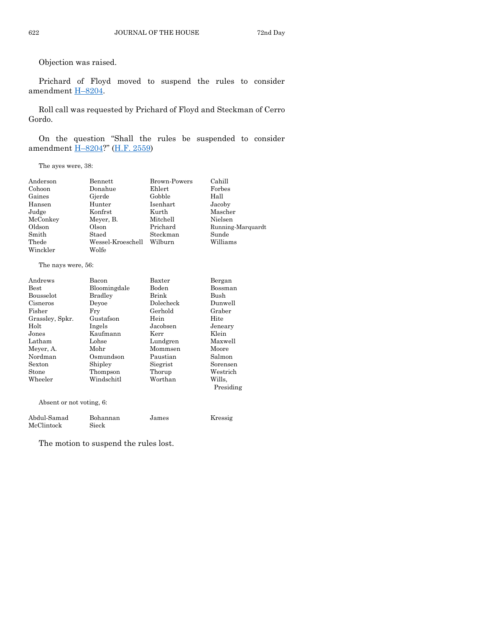Objection was raised.

Prichard of Floyd moved to suspend the rules to consider amendment H–[8204.](https://www.legis.iowa.gov/legislation/BillBook?ga=89&ba=H8204)

Roll call was requested by Prichard of Floyd and Steckman of Cerro Gordo.

On the question "Shall the rules be suspended to consider amendment H–[8204?](https://www.legis.iowa.gov/legislation/BillBook?ga=89&ba=H8204)" [\(H.F. 2559\)](https://www.legis.iowa.gov/legislation/BillBook?ga=89&ba=HF2559)

The ayes were, 38:

| Anderson | Bennett           | <b>Brown-Powers</b> | Cahill            |
|----------|-------------------|---------------------|-------------------|
| Cohoon   | Donahue           | Ehlert              | Forbes            |
| Gaines   | Gjerde            | Gobble              | Hall              |
| Hansen   | Hunter            | Isenhart            | Jacoby            |
| Judge    | Konfrst           | Kurth               | Mascher           |
| McConkey | Meyer, B.         | Mitchell            | Nielsen           |
| Oldson   | Olson             | Prichard            | Running-Marquardt |
| Smith    | Staed             | Steckman            | Sunde             |
| Thede    | Wessel-Kroeschell | Wilburn             | Williams          |
| Winckler | Wolfe             |                     |                   |

The nays were, 56:

| Andrews                  | Baxter<br>Bacon |           | Bergan    |
|--------------------------|-----------------|-----------|-----------|
| <b>Best</b>              | Bloomingdale    | Boden     | Bossman   |
| <b>Bousselot</b>         | Bradley         | Brink     | Bush      |
| Cisneros                 | Devoe           | Dolecheck | Dunwell   |
| Fisher                   | Fry             | Gerhold   | Graber    |
| Grassley, Spkr.          | Gustafson       | Hein      | Hite      |
| Holt                     | Ingels          | Jacobsen  | Jeneary   |
| $\rm Jones$              | Kaufmann        | Kerr      | Klein     |
| Latham                   | Lohse           | Lundgren  | Maxwell   |
| Meyer, A.                | Mohr            | Mommsen   | Moore     |
| Nordman                  | Osmundson       | Paustian  | Salmon    |
| Sexton                   | Shipley         | Siegrist  | Sorensen  |
| Stone                    | Thompson        | Thorup    | Westrich  |
| Wheeler                  | Windschitl      | Worthan   | Wills.    |
|                          |                 |           | Presiding |
| Absent or not voting, 6: |                 |           |           |

Abdul-Samad Bohannan James Kressig McClintock Sieck

The motion to suspend the rules lost.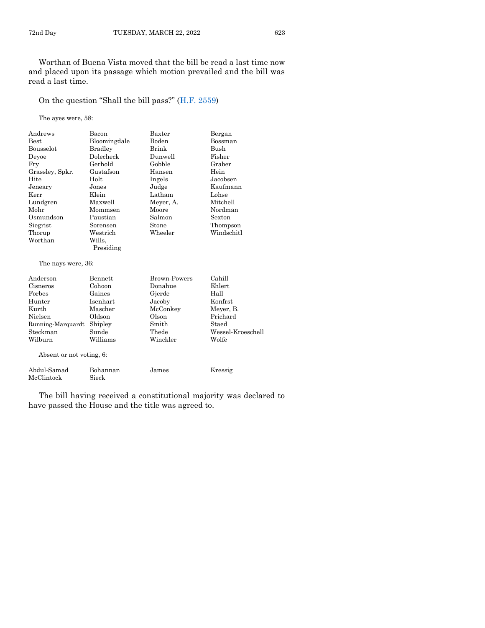Worthan of Buena Vista moved that the bill be read a last time now and placed upon its passage which motion prevailed and the bill was read a last time.

#### On the question "Shall the bill pass?" ([H.F. 2559\)](https://www.legis.iowa.gov/legislation/BillBook?ga=89&ba=HF2559)

The ayes were, 58:

| Andrews                       | Bacon            | Baxter              | Bergan                |
|-------------------------------|------------------|---------------------|-----------------------|
| Best                          | Bloomingdale     | Boden               | Bossman               |
| Bousselot                     | <b>Bradley</b>   | Brink               | Bush                  |
| Deyoe                         | Dolecheck        | Dunwell             | Fisher                |
| Fry                           | Gerhold          | Gobble              | Graber                |
| Grassley, Spkr.               | Gustafson        | Hansen              | Hein                  |
| Hite                          | Holt             | Ingels              | Jacobsen              |
| Jeneary                       | Jones            | Judge               | Kaufmann              |
| Kerr                          | Klein            | Latham              | Lohse                 |
| Lundgren                      | Maxwell          | Meyer, A.           | Mitchell              |
| Mohr                          | Mommsen          | Moore               | Nordman               |
| Osmundson                     | Paustian         | Salmon              | Sexton                |
| Siegrist                      | Sorensen         | Stone               | Thompson              |
| Thorup                        | Westrich         | Wheeler             | Windschitl            |
| Worthan                       | Wills.           |                     |                       |
|                               | Presiding        |                     |                       |
|                               |                  |                     |                       |
| The nays were, 36:            |                  |                     |                       |
| Anderson                      | <b>Bennett</b>   | <b>Brown-Powers</b> | Cahill                |
| Cisneros                      | Cohoon           | Donahue             | Ehlert                |
| Forbes                        | Gaines           | Gjerde              | Hall                  |
| Hunter                        | Isenhart         | Jacoby              | Konfrst               |
| Kurth                         | Mascher          | McConkey            |                       |
| Nielsen                       | Oldson           | Olson               | Meyer, B.<br>Prichard |
|                               |                  | Smith               | Staed                 |
| Running-Marquardt<br>Steckman | Shipley<br>Sunde | Thede               | Wessel-Kroeschell     |
| Wilburn                       | Williams         | Winckler            | Wolfe                 |
|                               |                  |                     |                       |
| Absent or not voting, 6:      |                  |                     |                       |
|                               |                  |                     |                       |
| Abdul-Samad                   | Bohannan         | James               | Kressig               |
| McClintock                    | Sieck            |                     |                       |

The bill having received a constitutional majority was declared to have passed the House and the title was agreed to.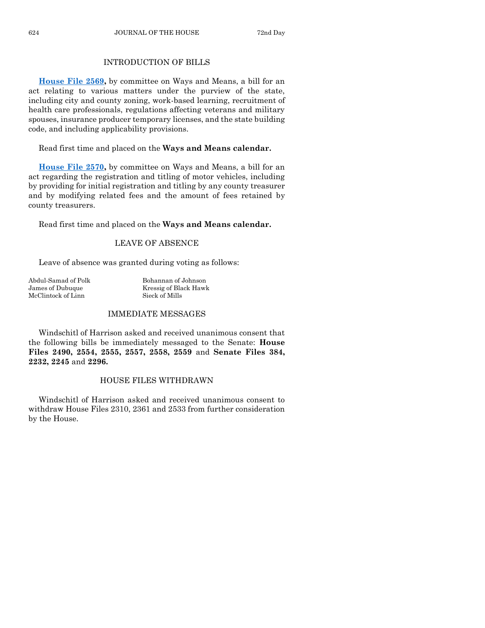#### INTRODUCTION OF BILLS

**[House File 2569,](https://www.legis.iowa.gov/legislation/BillBook?ga=89&ba=HF2569)** by committee on Ways and Means, a bill for an act relating to various matters under the purview of the state, including city and county zoning, work-based learning, recruitment of health care professionals, regulations affecting veterans and military spouses, insurance producer temporary licenses, and the state building code, and including applicability provisions.

Read first time and placed on the **Ways and Means calendar.**

**[House File 2570,](https://www.legis.iowa.gov/legislation/BillBook?ga=89&ba=HF2570)** by committee on Ways and Means, a bill for an act regarding the registration and titling of motor vehicles, including by providing for initial registration and titling by any county treasurer and by modifying related fees and the amount of fees retained by county treasurers.

Read first time and placed on the **Ways and Means calendar.**

#### LEAVE OF ABSENCE

Leave of absence was granted during voting as follows:

| Abdul-Samad of Polk | Bohannan of Johnson   |
|---------------------|-----------------------|
| James of Dubuque    | Kressig of Black Hawk |
| McClintock of Linn  | Sieck of Mills        |

#### IMMEDIATE MESSAGES

Windschitl of Harrison asked and received unanimous consent that the following bills be immediately messaged to the Senate: **House Files 2490, 2554, 2555, 2557, 2558, 2559** and **Senate Files 384, 2232, 2245** and **2296.**

#### HOUSE FILES WITHDRAWN

Windschitl of Harrison asked and received unanimous consent to withdraw House Files 2310, 2361 and 2533 from further consideration by the House.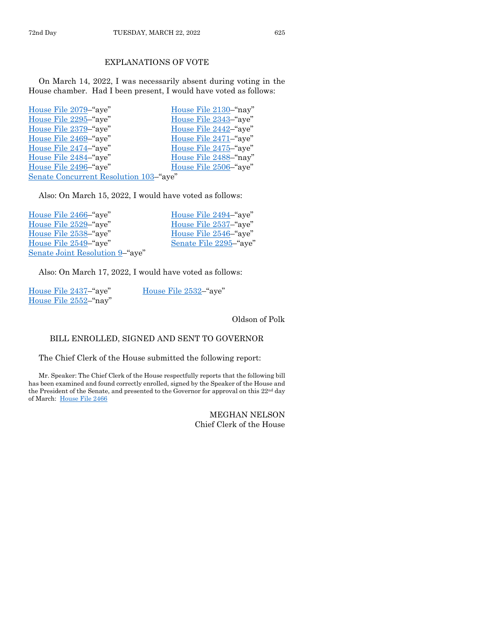#### EXPLANATIONS OF VOTE

On March 14, 2022, I was necessarily absent during voting in the House chamber. Had I been present, I would have voted as follows:

| House File 2079–"aye"                  | House File 2130-"nay" |
|----------------------------------------|-----------------------|
| House File 2295-"aye"                  | House File 2343-"aye" |
| House File 2379-"aye"                  | House File 2442-"aye" |
| House File 2469-"aye"                  | House File 2471–"aye" |
| House File 2474–"aye"                  | House File 2475–"aye" |
| House File 2484-"aye"                  | House File 2488-"nay" |
| House File 2496-"aye"                  | House File 2506–"aye" |
| Senate Concurrent Resolution 103-"aye" |                       |

Also: On March 15, 2022, I would have voted as follows:

| House File 2466–"aye"           | House File 2494–"aye"  |
|---------------------------------|------------------------|
| House File 2529-"aye"           | House File 2537-"aye"  |
| House File 2538–"aye"           | House File 2546–"aye"  |
| House File 2549–"aye"           | Senate File 2295-"aye" |
| Senate Joint Resolution 9-"aye" |                        |

Also: On March 17, 2022, I would have voted as follows:

| House File 2437-"aye" | House File 2532–"aye" |
|-----------------------|-----------------------|
| House File 2552–"nay" |                       |

Oldson of Polk

#### BILL ENROLLED, SIGNED AND SENT TO GOVERNOR

The Chief Clerk of the House submitted the following report:

Mr. Speaker: The Chief Clerk of the House respectfully reports that the following bill has been examined and found correctly enrolled, signed by the Speaker of the House and the President of the Senate, and presented to the Governor for approval on this 22nd day of March: [House File 2466](https://www.legis.iowa.gov/legislation/BillBook?ga=89&ba=HF2466)

> MEGHAN NELSON Chief Clerk of the House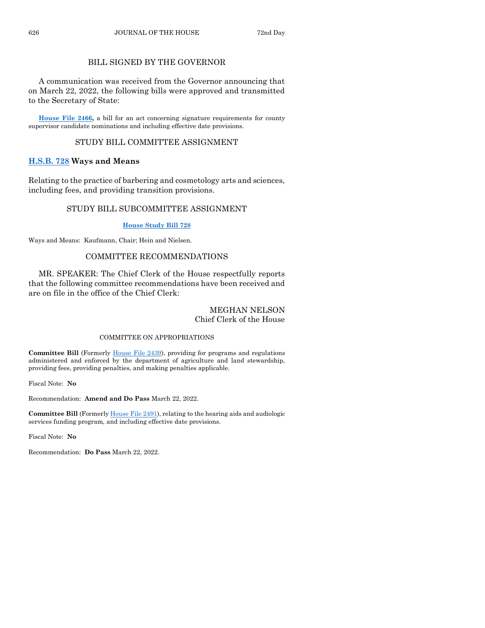#### BILL SIGNED BY THE GOVERNOR

A communication was received from the Governor announcing that on March 22, 2022, the following bills were approved and transmitted to the Secretary of State:

**[House File 2466,](https://www.legis.iowa.gov/legislation/BillBook?ga=89&ba=HF2466)** a bill for an act concerning signature requirements for county supervisor candidate nominations and including effective date provisions.

#### STUDY BILL COMMITTEE ASSIGNMENT

#### **[H.S.B. 728](https://www.legis.iowa.gov/legislation/BillBook?ga=89&ba=HSB728) Ways and Means**

Relating to the practice of barbering and cosmetology arts and sciences, including fees, and providing transition provisions.

#### STUDY BILL SUBCOMMITTEE ASSIGNMENT

#### **[House Study Bill 728](https://www.legis.iowa.gov/legislation/BillBook?ga=89&ba=HSB728)**

Ways and Means: Kaufmann, Chair; Hein and Nielsen.

#### COMMITTEE RECOMMENDATIONS

MR. SPEAKER: The Chief Clerk of the House respectfully reports that the following committee recommendations have been received and are on file in the office of the Chief Clerk:

#### MEGHAN NELSON Chief Clerk of the House

#### COMMITTEE ON APPROPRIATIONS

**Committee Bill** (Formerly [House File 2439\)](https://www.legis.iowa.gov/legislation/BillBook?ga=89&ba=HF2439), providing for programs and regulations administered and enforced by the department of agriculture and land stewardship, providing fees, providing penalties, and making penalties applicable.

Fiscal Note: **No**

Recommendation: **Amend and Do Pass** March 22, 2022.

**Committee Bill** (Formerl[y House File 2491\)](https://www.legis.iowa.gov/legislation/BillBook?ga=89&ba=HF2491), relating to the hearing aids and audiologic services funding program, and including effective date provisions.

Fiscal Note: **No**

Recommendation: **Do Pass** March 22, 2022.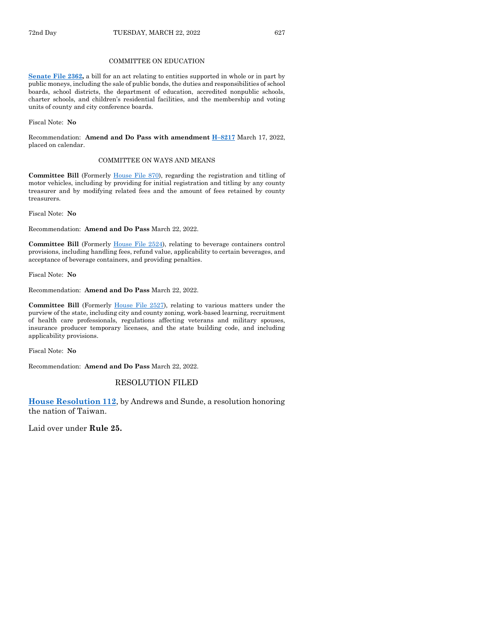#### COMMITTEE ON EDUCATION

**[Senate File 2362,](https://www.legis.iowa.gov/legislation/BillBook?ga=89&ba=SF2362)** a bill for an act relating to entities supported in whole or in part by public moneys, including the sale of public bonds, the duties and responsibilities of school boards, school districts, the department of education, accredited nonpublic schools, charter schools, and children's residential facilities, and the membership and voting units of county and city conference boards.

Fiscal Note: **No**

Recommendation: **Amend and Do Pass with amendment H–[8217](https://www.legis.iowa.gov/legislation/BillBook?ga=89&ba=H8217)** March 17, 2022, placed on calendar.

#### COMMITTEE ON WAYS AND MEANS

**Committee Bill** (Formerly [House File 870\)](https://www.legis.iowa.gov/legislation/BillBook?ga=89&ba=HF870), regarding the registration and titling of motor vehicles, including by providing for initial registration and titling by any county treasurer and by modifying related fees and the amount of fees retained by county treasurers.

Fiscal Note: **No**

Recommendation: **Amend and Do Pass** March 22, 2022.

Committee Bill (Formerly [House File 2524\)](https://www.legis.iowa.gov/legislation/BillBook?ga=89&ba=HF2524), relating to beverage containers control provisions, including handling fees, refund value, applicability to certain beverages, and acceptance of beverage containers, and providing penalties.

Fiscal Note: **No**

Recommendation: **Amend and Do Pass** March 22, 2022.

**Committee Bill** (Formerly [House File 2527\)](https://www.legis.iowa.gov/legislation/BillBook?ga=89&ba=HF2527), relating to various matters under the purview of the state, including city and county zoning, work-based learning, recruitment of health care professionals, regulations affecting veterans and military spouses, insurance producer temporary licenses, and the state building code, and including applicability provisions.

Fiscal Note: **No**

Recommendation: **Amend and Do Pass** March 22, 2022.

#### RESOLUTION FILED

**[House Resolution 112](https://www.legis.iowa.gov/legislation/BillBook?ga=89&ba=HR112)**, by Andrews and Sunde, a resolution honoring the nation of Taiwan.

Laid over under **Rule 25.**